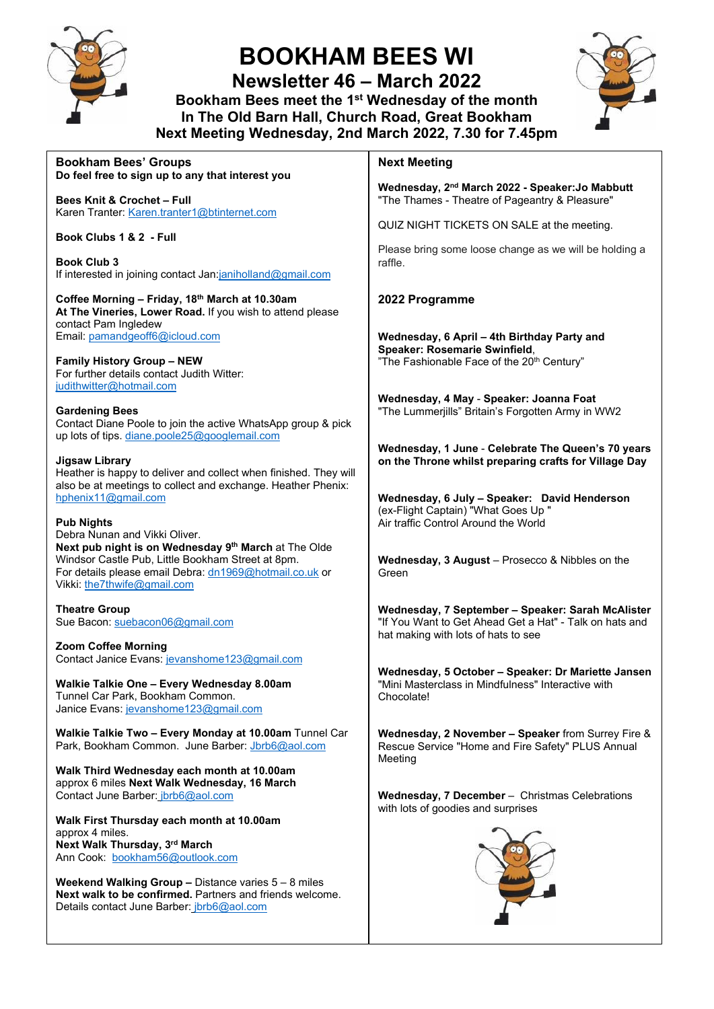

# **BOOKHAM BEES WI**

**Newsletter 46 – March 2022 Bookham Bees meet the 1st Wednesday of the month**

**In The Old Barn Hall, Church Road, Great Bookham Next Meeting Wednesday, 2nd March 2022, 7.30 for 7.45pm**



#### **Bookham Bees' Groups Do feel free to sign up to any that interest you Bees Knit & Crochet – Full** Karen Tranter: Karen.tranter1@btinternet.com **Book Clubs 1 & 2 - Full Book Club 3** If interested in joining contact Jan:janiholland@gmail.com **Coffee Morning – Friday, 18th March at 10.30am At The Vineries, Lower Road.** If you wish to attend please contact Pam Ingledew Email: pamandgeoff6@icloud.com **Family History Group – NEW** For further details contact Judith Witter: judithwitter@hotmail.com **Gardening Bees** Contact Diane Poole to join the active WhatsApp group & pick up lots of tips. diane.poole25@googlemail.com **Jigsaw Library** Heather is happy to deliver and collect when finished. They will also be at meetings to collect and exchange. Heather Phenix: hphenix11@gmail.com **Pub Nights** Debra Nunan and Vikki Oliver. **Next pub night is on Wednesday 9th March** at The Olde Windsor Castle Pub, Little Bookham Street at 8pm. For details please email Debra: dn1969@hotmail.co.uk or Vikki: the7thwife@gmail.com **Theatre Group** Sue Bacon: suebacon06@gmail.com **Zoom Coffee Morning** Contact Janice Evans: jevanshome123@gmail.com **Walkie Talkie One – Every Wednesday 8.00am** Tunnel Car Park, Bookham Common. Janice Evans: jevanshome123@gmail.com **Walkie Talkie Two – Every Monday at 10.00am** Tunnel Car Park, Bookham Common. June Barber: Jbrb6@aol.com **Walk Third Wednesday each month at 10.00am** approx 6 miles **Next Walk Wednesday, 16 March** Contact June Barber: jbrb6@aol.com **Walk First Thursday each month at 10.00am** approx 4 miles. **Next Walk Thursday, 3rd March** Ann Cook: bookham56@outlook.com **Weekend Walking Group –** Distance varies 5 – 8 miles **Next walk to be confirmed.** Partners and friends welcome. Details contact June Barber: jbrb6@aol.com **Next Meeting Wednesday, 2nd March 2022 - Speaker:Jo Mabbutt** "The Thames - Theatre of Pageantry & Pleasure" QUIZ NIGHT TICKETS ON SALE at the meeting. Please bring some loose change as we will be holding a raffle. **2022 Programme Wednesday, 6 April – 4th Birthday Party and Speaker: Rosemarie Swinfield**, "The Fashionable Face of the 20<sup>th</sup> Century" **Wednesday, 4 May** - **Speaker: Joanna Foat** "The Lummerjills" Britain's Forgotten Army in WW2 **Wednesday, 1 June** - **Celebrate The Queen's 70 years on the Throne whilst preparing crafts for Village Day Wednesday, 6 July – Speaker: David Henderson** (ex-Flight Captain) "What Goes Up " Air traffic Control Around the World **Wednesday, 3 August** – Prosecco & Nibbles on the Green **Wednesday, 7 September – Speaker: Sarah McAlister** "If You Want to Get Ahead Get a Hat" - Talk on hats and hat making with lots of hats to see **Wednesday, 5 October – Speaker: Dr Mariette Jansen** "Mini Masterclass in Mindfulness" Interactive with Chocolate! **Wednesday, 2 November – Speaker** from Surrey Fire & Rescue Service "Home and Fire Safety" PLUS Annual **Meeting Wednesday, 7 December** – Christmas Celebrations with lots of goodies and surprises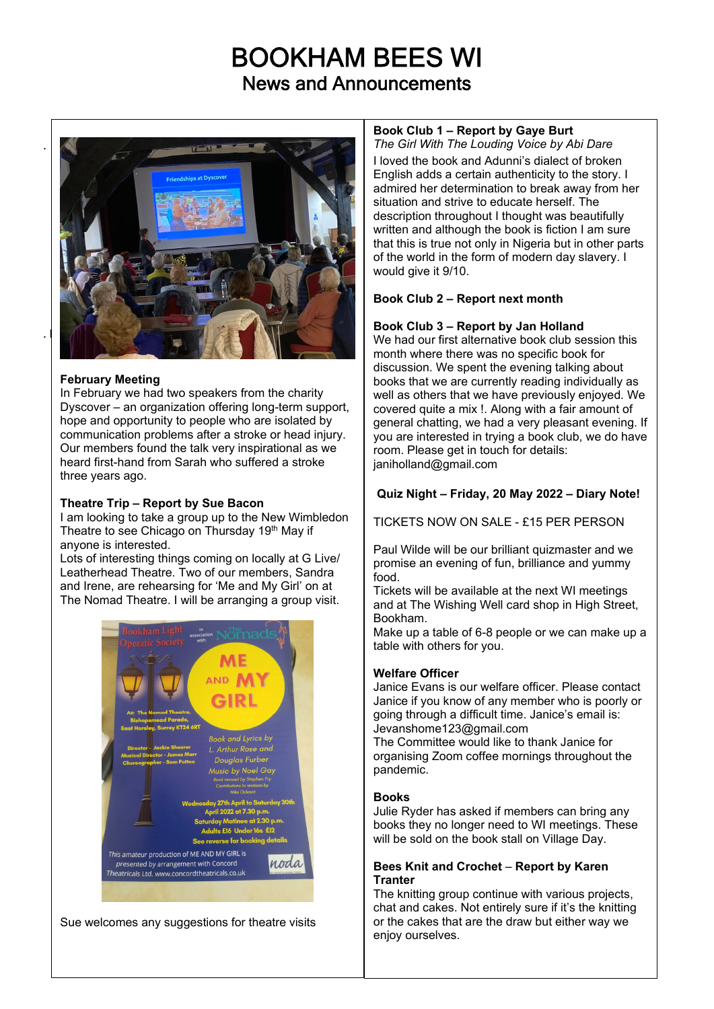# BOOKHAM BEES WI News and Announcements



### **February Meeting**

In February we had two speakers from the charity Dyscover – an organization offering long-term support, hope and opportunity to people who are isolated by communication problems after a stroke or head injury. Our members found the talk very inspirational as we heard first-hand from Sarah who suffered a stroke three years ago.

#### **Theatre Trip – Report by Sue Bacon**

I am looking to take a group up to the New Wimbledon Theatre to see Chicago on Thursday 19th May if anyone is interested.

Lots of interesting things coming on locally at G Live/ Leatherhead Theatre. Two of our members, Sandra and Irene, are rehearsing for 'Me and My Girl' on at The Nomad Theatre. I will be arranging a group visit.



Sue welcomes any suggestions for theatre visits

# **Book Club 1 – Report by Gaye Burt**

*The Girl With The Louding Voice by Abi Dare*

I loved the book and Adunni's dialect of broken English adds a certain authenticity to the story. I admired her determination to break away from her situation and strive to educate herself. The description throughout I thought was beautifully written and although the book is fiction I am sure that this is true not only in Nigeria but in other parts of the world in the form of modern day slavery. I would give it 9/10.

### **Book Club 2 – Report next month**

### **Book Club 3 – Report by Jan Holland**

We had our first alternative book club session this month where there was no specific book for discussion. We spent the evening talking about books that we are currently reading individually as well as others that we have previously enjoyed. We covered quite a mix !. Along with a fair amount of general chatting, we had a very pleasant evening. If you are interested in trying a book club, we do have room. Please get in touch for details: janiholland@gmail.com

### **Quiz Night – Friday, 20 May 2022 – Diary Note!**

TICKETS NOW ON SALE - £15 PER PERSON

Paul Wilde will be our brilliant quizmaster and we promise an evening of fun, brilliance and yummy food.

Tickets will be available at the next WI meetings and at The Wishing Well card shop in High Street, Bookham.

Make up a table of 6-8 people or we can make up a table with others for you.

#### **Welfare Officer**

Janice Evans is our welfare officer. Please contact Janice if you know of any member who is poorly or going through a difficult time. Janice's email is: Jevanshome123@gmail.com

The Committee would like to thank Janice for organising Zoom coffee mornings throughout the pandemic.

#### **Books**

Julie Ryder has asked if members can bring any books they no longer need to WI meetings. These will be sold on the book stall on Village Day.

#### **Bees Knit and Crochet** – **Report by Karen Tranter**

The knitting group continue with various projects, chat and cakes. Not entirely sure if it's the knitting or the cakes that are the draw but either way we enjoy ourselves.